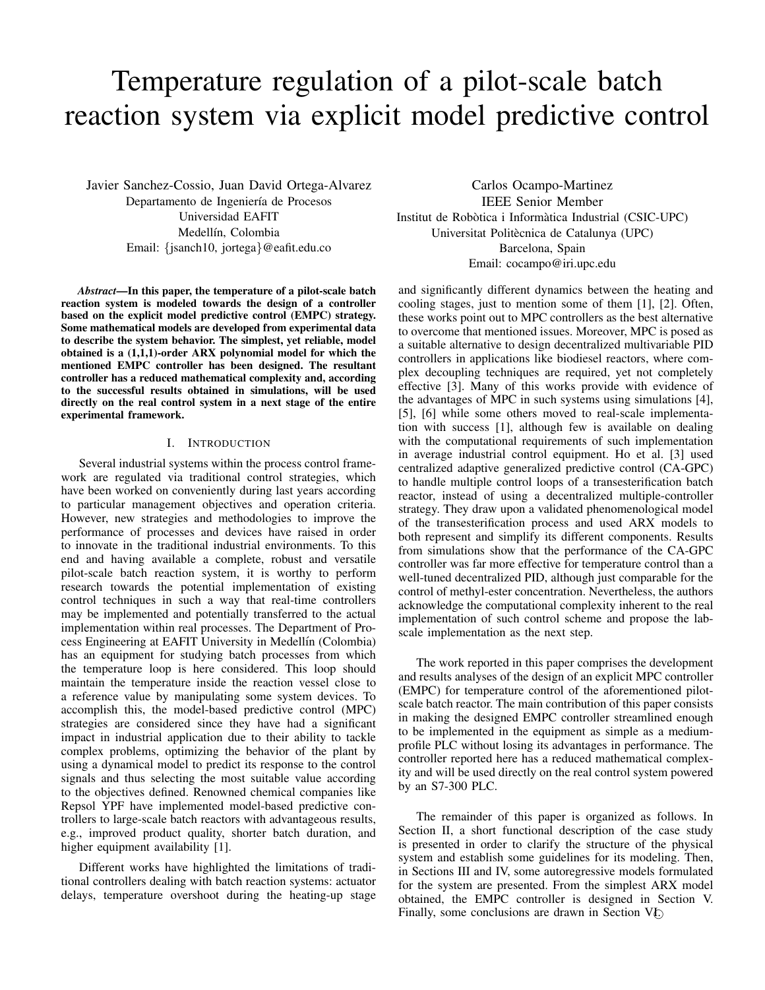# Temperature regulation of a pilot-scale batch reaction system via explicit model predictive control

Javier Sanchez-Cossio, Juan David Ortega-Alvarez Departamento de Ingeniería de Procesos Universidad EAFIT Medellín, Colombia Email: {jsanch10, jortega}@eafit.edu.co

*Abstract***—In this paper, the temperature of a pilot-scale batch reaction system is modeled towards the design of a controller based on the explicit model predictive control (EMPC) strategy. Some mathematical models are developed from experimental data to describe the system behavior. The simplest, yet reliable, model obtained is a (1,1,1)-order ARX polynomial model for which the mentioned EMPC controller has been designed. The resultant controller has a reduced mathematical complexity and, according to the successful results obtained in simulations, will be used directly on the real control system in a next stage of the entire experimental framework.**

# I. INTRODUCTION

Several industrial systems within the process control framework are regulated via traditional control strategies, which have been worked on conveniently during last years according to particular management objectives and operation criteria. However, new strategies and methodologies to improve the performance of processes and devices have raised in order to innovate in the traditional industrial environments. To this end and having available a complete, robust and versatile pilot-scale batch reaction system, it is worthy to perform research towards the potential implementation of existing control techniques in such a way that real-time controllers may be implemented and potentially transferred to the actual implementation within real processes. The Department of Process Engineering at EAFIT University in Medellín (Colombia) has an equipment for studying batch processes from which the temperature loop is here considered. This loop should maintain the temperature inside the reaction vessel close to a reference value by manipulating some system devices. To accomplish this, the model-based predictive control (MPC) strategies are considered since they have had a significant impact in industrial application due to their ability to tackle complex problems, optimizing the behavior of the plant by using a dynamical model to predict its response to the control signals and thus selecting the most suitable value according to the objectives defined. Renowned chemical companies like Repsol YPF have implemented model-based predictive controllers to large-scale batch reactors with advantageous results, e.g., improved product quality, shorter batch duration, and higher equipment availability [1].

Different works have highlighted the limitations of traditional controllers dealing with batch reaction systems: actuator delays, temperature overshoot during the heating-up stage

Carlos Ocampo-Martinez IEEE Senior Member Institut de Robòtica i Informàtica Industrial (CSIC-UPC) Universitat Politècnica de Catalunya (UPC) Barcelona, Spain Email: cocampo@iri.upc.edu

and significantly different dynamics between the heating and cooling stages, just to mention some of them [1], [2]. Often, these works point out to MPC controllers as the best alternative to overcome that mentioned issues. Moreover, MPC is posed as a suitable alternative to design decentralized multivariable PID controllers in applications like biodiesel reactors, where complex decoupling techniques are required, yet not completely effective [3]. Many of this works provide with evidence of the advantages of MPC in such systems using simulations [4], [5], [6] while some others moved to real-scale implementation with success [1], although few is available on dealing with the computational requirements of such implementation in average industrial control equipment. Ho et al. [3] used centralized adaptive generalized predictive control (CA-GPC) to handle multiple control loops of a transesterification batch reactor, instead of using a decentralized multiple-controller strategy. They draw upon a validated phenomenological model of the transesterification process and used ARX models to both represent and simplify its different components. Results from simulations show that the performance of the CA-GPC controller was far more effective for temperature control than a well-tuned decentralized PID, although just comparable for the control of methyl-ester concentration. Nevertheless, the authors acknowledge the computational complexity inherent to the real implementation of such control scheme and propose the labscale implementation as the next step.

The work reported in this paper comprises the development and results analyses of the design of an explicit MPC controller (EMPC) for temperature control of the aforementioned pilotscale batch reactor. The main contribution of this paper consists in making the designed EMPC controller streamlined enough to be implemented in the equipment as simple as a mediumprofile PLC without losing its advantages in performance. The controller reported here has a reduced mathematical complexity and will be used directly on the real control system powered by an S7-300 PLC.

The remainder of this paper is organized as follows. In Section II, a short functional description of the case study is presented in order to clarify the structure of the physical system and establish some guidelines for its modeling. Then, in Sections III and IV, some autoregressive models formulated for the system are presented. From the simplest ARX model obtained, the EMPC controller is designed in Section V. Finally, some conclusions are drawn in Section V<sub>L</sub>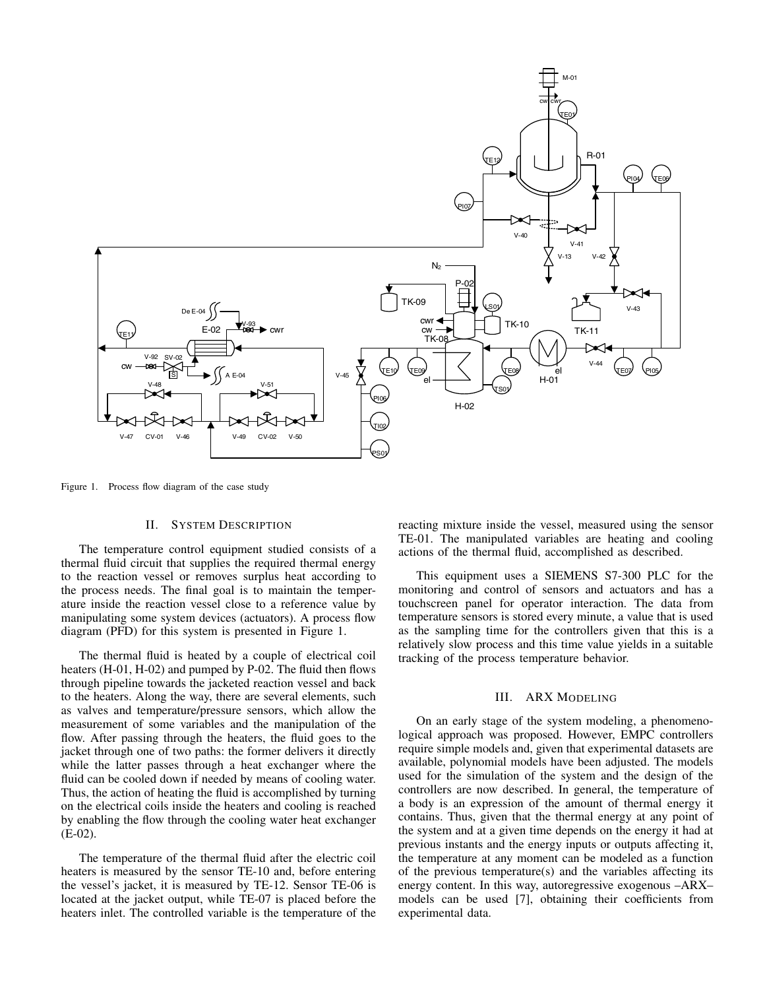

Figure 1. Process flow diagram of the case study

## II. SYSTEM DESCRIPTION

The temperature control equipment studied consists of a thermal fluid circuit that supplies the required thermal energy to the reaction vessel or removes surplus heat according to the process needs. The final goal is to maintain the temperature inside the reaction vessel close to a reference value by manipulating some system devices (actuators). A process flow diagram (PFD) for this system is presented in Figure 1.

The thermal fluid is heated by a couple of electrical coil heaters (H-01, H-02) and pumped by P-02. The fluid then flows through pipeline towards the jacketed reaction vessel and back to the heaters. Along the way, there are several elements, such as valves and temperature/pressure sensors, which allow the measurement of some variables and the manipulation of the flow. After passing through the heaters, the fluid goes to the jacket through one of two paths: the former delivers it directly while the latter passes through a heat exchanger where the fluid can be cooled down if needed by means of cooling water. Thus, the action of heating the fluid is accomplished by turning on the electrical coils inside the heaters and cooling is reached by enabling the flow through the cooling water heat exchanger (E-02).

The temperature of the thermal fluid after the electric coil heaters is measured by the sensor TE-10 and, before entering the vessel's jacket, it is measured by TE-12. Sensor TE-06 is located at the jacket output, while TE-07 is placed before the heaters inlet. The controlled variable is the temperature of the reacting mixture inside the vessel, measured using the sensor TE-01. The manipulated variables are heating and cooling actions of the thermal fluid, accomplished as described.

This equipment uses a SIEMENS S7-300 PLC for the monitoring and control of sensors and actuators and has a touchscreen panel for operator interaction. The data from temperature sensors is stored every minute, a value that is used as the sampling time for the controllers given that this is a relatively slow process and this time value yields in a suitable tracking of the process temperature behavior.

## III. ARX MODELING

On an early stage of the system modeling, a phenomenological approach was proposed. However, EMPC controllers require simple models and, given that experimental datasets are available, polynomial models have been adjusted. The models used for the simulation of the system and the design of the controllers are now described. In general, the temperature of a body is an expression of the amount of thermal energy it contains. Thus, given that the thermal energy at any point of the system and at a given time depends on the energy it had at previous instants and the energy inputs or outputs affecting it, the temperature at any moment can be modeled as a function of the previous temperature(s) and the variables affecting its energy content. In this way, autoregressive exogenous –ARX– models can be used [7], obtaining their coefficients from experimental data.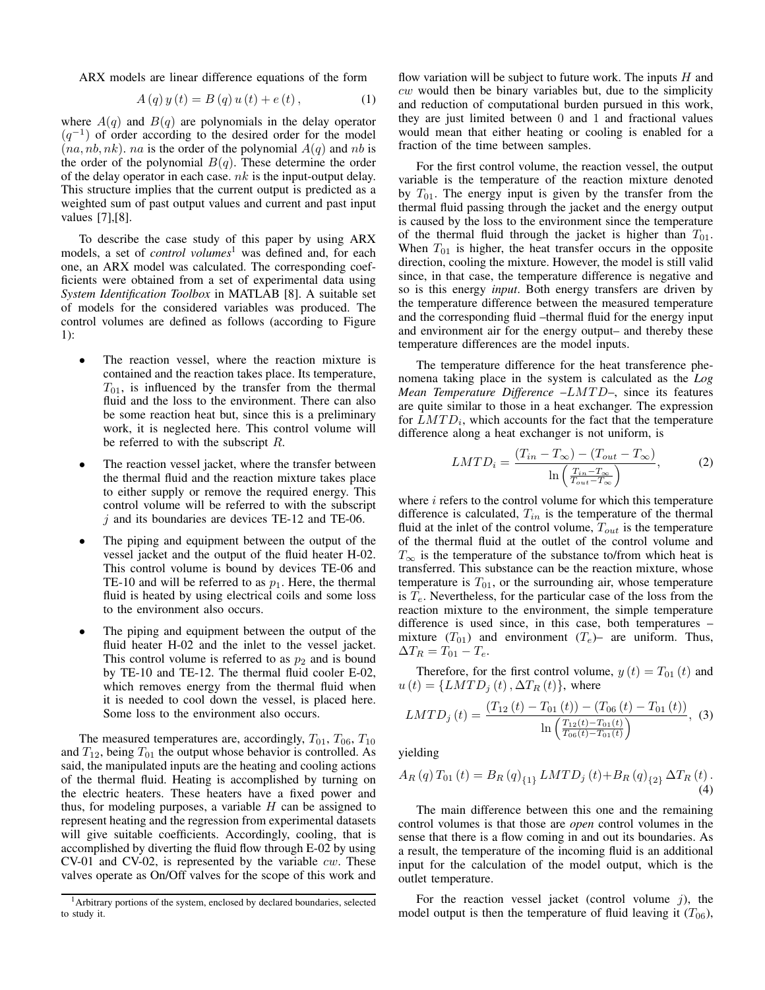ARX models are linear difference equations of the form

$$
A(q) y(t) = B(q) u(t) + e(t), \qquad (1)
$$

where  $A(q)$  and  $B(q)$  are polynomials in the delay operator  $(q^{-1})$  of order according to the desired order for the model  $(na, nb, nk)$ . *na* is the order of the polynomial  $A(q)$  and *nb* is the order of the polynomial  $B(q)$ . These determine the order of the delay operator in each case.  $nk$  is the input-output delay. This structure implies that the current output is predicted as a weighted sum of past output values and current and past input values [7],[8].

To describe the case study of this paper by using ARX models, a set of *control volumes*<sup>1</sup> was defined and, for each one, an ARX model was calculated. The corresponding coefficients were obtained from a set of experimental data using *System Identification Toolbox* in MATLAB [8]. A suitable set of models for the considered variables was produced. The control volumes are defined as follows (according to Figure 1):

- ∙ The reaction vessel, where the reaction mixture is contained and the reaction takes place. Its temperature,  $T_{01}$ , is influenced by the transfer from the thermal fluid and the loss to the environment. There can also be some reaction heat but, since this is a preliminary work, it is neglected here. This control volume will be referred to with the subscript  $R$ .
- The reaction vessel jacket, where the transfer between the thermal fluid and the reaction mixture takes place to either supply or remove the required energy. This control volume will be referred to with the subscript  $j$  and its boundaries are devices TE-12 and TE-06.
- ∙ The piping and equipment between the output of the vessel jacket and the output of the fluid heater H-02. This control volume is bound by devices TE-06 and TE-10 and will be referred to as  $p_1$ . Here, the thermal fluid is heated by using electrical coils and some loss to the environment also occurs.
- ∙ The piping and equipment between the output of the fluid heater H-02 and the inlet to the vessel jacket. This control volume is referred to as  $p_2$  and is bound by TE-10 and TE-12. The thermal fluid cooler E-02, which removes energy from the thermal fluid when it is needed to cool down the vessel, is placed here. Some loss to the environment also occurs.

The measured temperatures are, accordingly,  $T_{01}$ ,  $T_{06}$ ,  $T_{10}$ and  $T_{12}$ , being  $T_{01}$  the output whose behavior is controlled. As said, the manipulated inputs are the heating and cooling actions of the thermal fluid. Heating is accomplished by turning on the electric heaters. These heaters have a fixed power and thus, for modeling purposes, a variable  $H$  can be assigned to represent heating and the regression from experimental datasets will give suitable coefficients. Accordingly, cooling, that is accomplished by diverting the fluid flow through E-02 by using CV-01 and CV-02, is represented by the variable  $cw$ . These valves operate as On/Off valves for the scope of this work and flow variation will be subject to future work. The inputs  $H$  and  $cw$  would then be binary variables but, due to the simplicity and reduction of computational burden pursued in this work, they are just limited between 0 and 1 and fractional values would mean that either heating or cooling is enabled for a fraction of the time between samples.

For the first control volume, the reaction vessel, the output variable is the temperature of the reaction mixture denoted by  $T_{01}$ . The energy input is given by the transfer from the thermal fluid passing through the jacket and the energy output is caused by the loss to the environment since the temperature of the thermal fluid through the jacket is higher than  $T_{01}$ . When  $T_{01}$  is higher, the heat transfer occurs in the opposite direction, cooling the mixture. However, the model is still valid since, in that case, the temperature difference is negative and so is this energy *input*. Both energy transfers are driven by the temperature difference between the measured temperature and the corresponding fluid –thermal fluid for the energy input and environment air for the energy output– and thereby these temperature differences are the model inputs.

The temperature difference for the heat transference phenomena taking place in the system is calculated as the *Log Mean Temperature Difference –LMTD–*, since its features are quite similar to those in a heat exchanger. The expression for  $LMTD_i$ , which accounts for the fact that the temperature difference along a heat exchanger is not uniform, is

$$
LMTD_i = \frac{(T_{in} - T_{\infty}) - (T_{out} - T_{\infty})}{\ln\left(\frac{T_{in} - T_{\infty}}{T_{out} - T_{\infty}}\right)},
$$
(2)

where  $i$  refers to the control volume for which this temperature difference is calculated,  $T_{in}$  is the temperature of the thermal fluid at the inlet of the control volume,  $T_{out}$  is the temperature of the thermal fluid at the outlet of the control volume and  $T_{\infty}$  is the temperature of the substance to/from which heat is transferred. This substance can be the reaction mixture, whose temperature is  $T_{01}$ , or the surrounding air, whose temperature is  $T_e$ . Nevertheless, for the particular case of the loss from the reaction mixture to the environment, the simple temperature difference is used since, in this case, both temperatures – mixture  $(T_{01})$  and environment  $(T_e)$ – are uniform. Thus,  $\Delta T_R = T_{01} - T_e.$ 

Therefore, for the first control volume,  $y(t) = T_{01}(t)$  and  $u(t) = \{LMTD_i(t), \Delta T_R(t)\}\,$ , where

$$
LMTD_{j}(t) = \frac{(T_{12}(t) - T_{01}(t)) - (T_{06}(t) - T_{01}(t))}{\ln\left(\frac{T_{12}(t) - T_{01}(t)}{T_{06}(t) - T_{01}(t)}\right)}, (3)
$$

yielding

$$
A_{R}(q) T_{01}(t) = B_{R}(q)_{\{1\}} LMTD_{j}(t) + B_{R}(q)_{\{2\}} \Delta T_{R}(t).
$$
\n(4)

The main difference between this one and the remaining control volumes is that those are *open* control volumes in the sense that there is a flow coming in and out its boundaries. As a result, the temperature of the incoming fluid is an additional input for the calculation of the model output, which is the outlet temperature.

For the reaction vessel jacket (control volume  $j$ ), the model output is then the temperature of fluid leaving it  $(T_{06})$ ,

<sup>1</sup>Arbitrary portions of the system, enclosed by declared boundaries, selected to study it.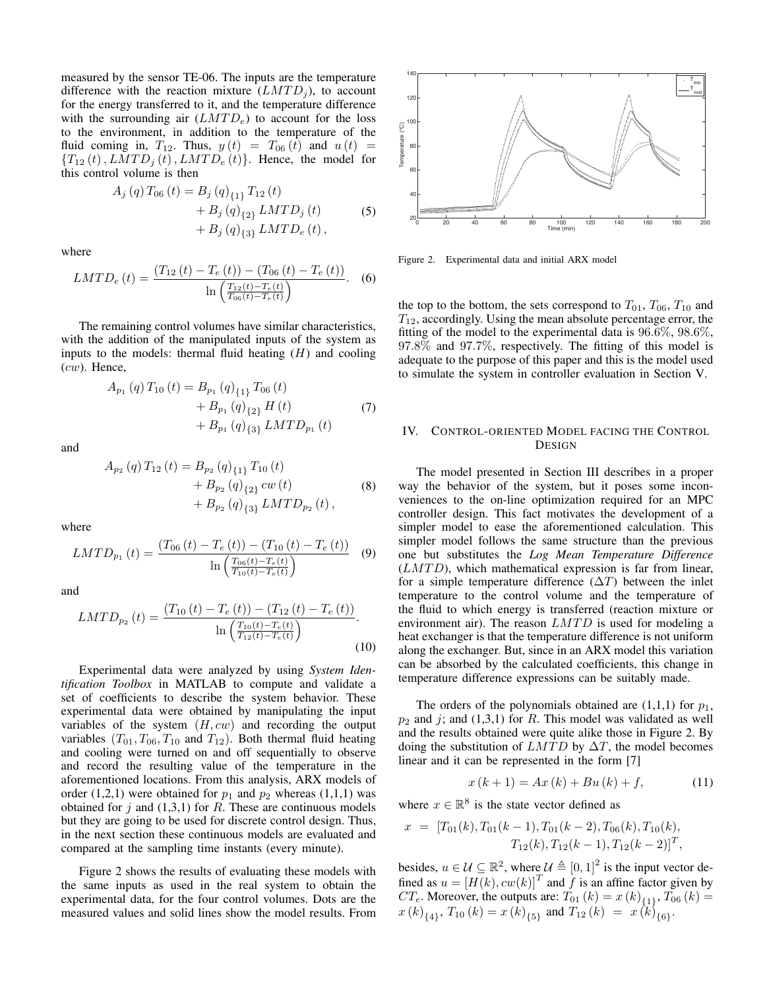measured by the sensor TE-06. The inputs are the temperature difference with the reaction mixture  $(LMTD_i)$ , to account for the energy transferred to it, and the temperature difference with the surrounding air  $(LMTD_e)$  to account for the loss to the environment, in addition to the temperature of the fluid coming in,  $T_{12}$ . Thus,  $y(t) = T_{06}(t)$  and  $u(t) =$  ${T_{12}(t), LMTD_i(t), LMTD_e(t)}$ . Hence, the model for this control volume is then

$$
A_{j}(q) T_{06}(t) = B_{j}(q)_{\{1\}} T_{12}(t)
$$
  
+ B\_{j}(q)\_{\{2\}} LMTD\_{j}(t)  
+ B\_{j}(q)\_{\{3\}} LMTD\_{e}(t), (5)

where

$$
LMTD_e(t) = \frac{(T_{12}(t) - T_e(t)) - (T_{06}(t) - T_e(t))}{\ln\left(\frac{T_{12}(t) - T_e(t)}{T_{06}(t) - T_e(t)}\right)}.
$$
 (6)

The remaining control volumes have similar characteristics, with the addition of the manipulated inputs of the system as inputs to the models: thermal fluid heating  $(H)$  and cooling  $(cw)$ . Hence,

$$
A_{p_1}(q) T_{10}(t) = B_{p_1}(q)_{\{1\}} T_{06}(t)
$$
  
+  $B_{p_1}(q)_{\{2\}} H(t)$   
+  $B_{p_1}(q)_{\{3\}} LMTD_{p_1}(t)$  (7)

and

$$
A_{p_2}(q) T_{12}(t) = B_{p_2}(q)_{\{1\}} T_{10}(t)
$$
  
+  $B_{p_2}(q)_{\{2\}} cw(t)$   
+  $B_{p_2}(q)_{\{3\}} LMTD_{p_2}(t)$ , (8)

where

$$
LMTD_{p_1}(t) = \frac{(T_{06}(t) - T_e(t)) - (T_{10}(t) - T_e(t))}{\ln\left(\frac{T_{06}(t) - T_e(t)}{T_{10}(t) - T_e(t)}\right)} \tag{9}
$$

and

$$
LMTD_{p_2}(t) = \frac{(T_{10}(t) - T_e(t)) - (T_{12}(t) - T_e(t))}{\ln\left(\frac{T_{10}(t) - T_e(t)}{T_{12}(t) - T_e(t)}\right)}.
$$
\n(10)

Experimental data were analyzed by using *System Identification Toolbox* in MATLAB to compute and validate a set of coefficients to describe the system behavior. These experimental data were obtained by manipulating the input variables of the system  $(H, cw)$  and recording the output variables  $(T_{01}, T_{06}, T_{10}$  and  $T_{12})$ . Both thermal fluid heating and cooling were turned on and off sequentially to observe and record the resulting value of the temperature in the aforementioned locations. From this analysis, ARX models of order (1,2,1) were obtained for  $p_1$  and  $p_2$  whereas (1,1,1) was obtained for  $j$  and  $(1,3,1)$  for R. These are continuous models but they are going to be used for discrete control design. Thus, in the next section these continuous models are evaluated and compared at the sampling time instants (every minute).

Figure 2 shows the results of evaluating these models with the same inputs as used in the real system to obtain the experimental data, for the four control volumes. Dots are the measured values and solid lines show the model results. From



Figure 2. Experimental data and initial ARX model

the top to the bottom, the sets correspond to  $T_{01}$ ,  $T_{06}$ ,  $T_{10}$  and  $T_{12}$ , accordingly. Using the mean absolute percentage error, the fitting of the model to the experimental data is 96.6%, 98.6%, 97.8% and 97.7%, respectively. The fitting of this model is adequate to the purpose of this paper and this is the model used to simulate the system in controller evaluation in Section V.

# IV. CONTROL-ORIENTED MODEL FACING THE CONTROL DESIGN

The model presented in Section III describes in a proper way the behavior of the system, but it poses some inconveniences to the on-line optimization required for an MPC controller design. This fact motivates the development of a simpler model to ease the aforementioned calculation. This simpler model follows the same structure than the previous one but substitutes the *Log Mean Temperature Difference*  $(LMTD)$ , which mathematical expression is far from linear, for a simple temperature difference  $(\Delta T)$  between the inlet temperature to the control volume and the temperature of the fluid to which energy is transferred (reaction mixture or environment air). The reason  $LMTD$  is used for modeling a heat exchanger is that the temperature difference is not uniform along the exchanger. But, since in an ARX model this variation can be absorbed by the calculated coefficients, this change in temperature difference expressions can be suitably made.

The orders of the polynomials obtained are  $(1,1,1)$  for  $p_1$ ,  $p_2$  and j; and (1,3,1) for R. This model was validated as well and the results obtained were quite alike those in Figure 2. By doing the substitution of  $LMTD$  by  $\Delta T$ , the model becomes linear and it can be represented in the form [7]

$$
x(k+1) = Ax(k) + Bu(k) + f,
$$
 (11)

where  $x \in \mathbb{R}^8$  is the state vector defined as

$$
x = [T_{01}(k), T_{01}(k-1), T_{01}(k-2), T_{06}(k), T_{10}(k),
$$
  

$$
T_{12}(k), T_{12}(k-1), T_{12}(k-2)]^T,
$$

besides,  $u \in \mathcal{U} \subseteq \mathbb{R}^2$ , where  $\mathcal{U} \triangleq [0, 1]^2$  is the input vector defined as  $u = [H(k), cw(k)]^T$  and  $f$  is an affine factor given by  $CT_e$ . Moreover, the outputs are:  $T_{01} (k) = x (k)_{\{1\}}$ ,  $T_{06} (k) =$  $x(k)_{\{4\}}$ ,  $T_{10} (k) = x(k)_{\{5\}}$  and  $T_{12} (k) = x(k)_{\{6\}}$ .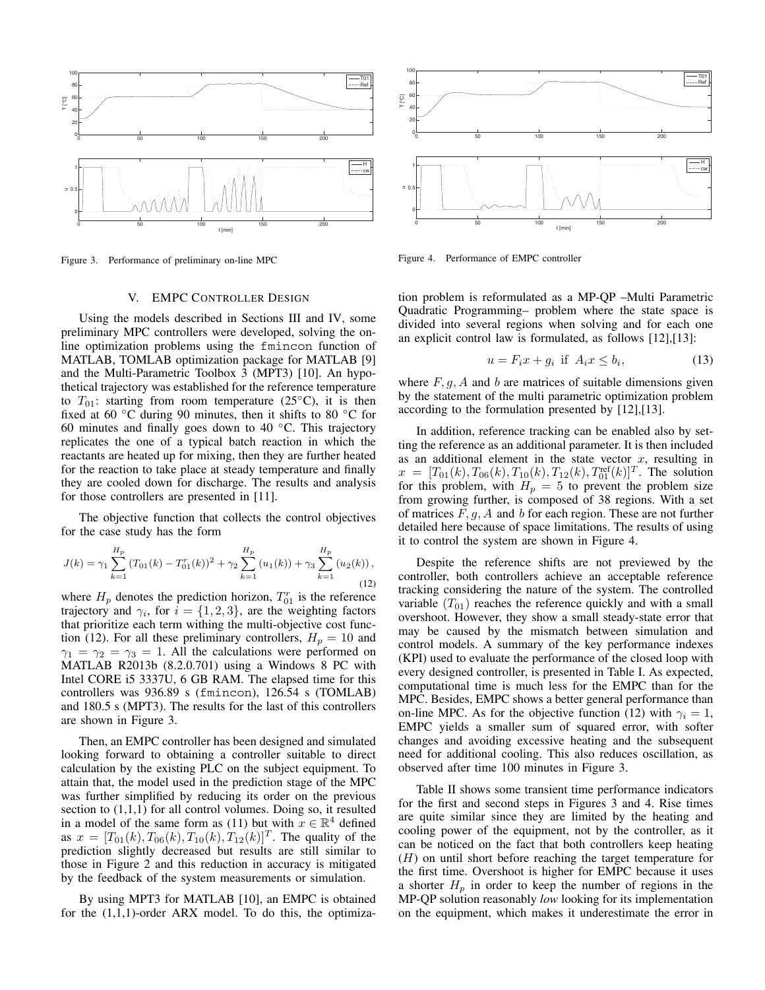

Figure 3. Performance of preliminary on-line MPC

## V. EMPC CONTROLLER DESIGN

Using the models described in Sections III and IV, some preliminary MPC controllers were developed, solving the online optimization problems using the fmincon function of MATLAB, TOMLAB optimization package for MATLAB [9] and the Multi-Parametric Toolbox 3 (MPT3) [10]. An hypothetical trajectory was established for the reference temperature to  $T_{01}$ : starting from room temperature (25°C), it is then fixed at 60 <sup>∘</sup>C during 90 minutes, then it shifts to 80 <sup>∘</sup>C for 60 minutes and finally goes down to 40 <sup>∘</sup>C. This trajectory replicates the one of a typical batch reaction in which the reactants are heated up for mixing, then they are further heated for the reaction to take place at steady temperature and finally they are cooled down for discharge. The results and analysis for those controllers are presented in [11].

The objective function that collects the control objectives for the case study has the form

$$
J(k) = \gamma_1 \sum_{k=1}^{H_p} (T_{01}(k) - T_{01}^r(k))^2 + \gamma_2 \sum_{k=1}^{H_p} (u_1(k)) + \gamma_3 \sum_{k=1}^{H_p} (u_2(k)),
$$
\n(12)

where  $H_p$  denotes the prediction horizon,  $T_{01}^r$  is the reference trajectory and  $\gamma_i$ , for  $i = \{1, 2, 3\}$ , are the weighting factors that prioritize each term withing the multi-objective cost function (12). For all these preliminary controllers,  $H_p = 10$  and  $\gamma_1 = \gamma_2 = \gamma_3 = 1$ . All the calculations were performed on MATLAB R2013b (8.2.0.701) using a Windows 8 PC with Intel CORE i5 3337U, 6 GB RAM. The elapsed time for this controllers was 936.89 s (fmincon), 126.54 s (TOMLAB) and 180.5 s (MPT3). The results for the last of this controllers are shown in Figure 3.

Then, an EMPC controller has been designed and simulated looking forward to obtaining a controller suitable to direct calculation by the existing PLC on the subject equipment. To attain that, the model used in the prediction stage of the MPC was further simplified by reducing its order on the previous section to  $(1,1,1)$  for all control volumes. Doing so, it resulted in a model of the same form as (11) but with  $x \in \mathbb{R}^4$  defined as  $x = [T_{01}(k), T_{06}(k), T_{10}(k), T_{12}(k)]^T$ . The quality of the prediction slightly decreased but results are still similar to those in Figure 2 and this reduction in accuracy is mitigated by the feedback of the system measurements or simulation.

By using MPT3 for MATLAB [10], an EMPC is obtained for the  $(1,1,1)$ -order ARX model. To do this, the optimiza-



Figure 4. Performance of EMPC controller

tion problem is reformulated as a MP-QP –Multi Parametric Quadratic Programming– problem where the state space is divided into several regions when solving and for each one an explicit control law is formulated, as follows [12],[13]:

$$
u = F_i x + g_i \text{ if } A_i x \le b_i,
$$
 (13)

where  $F, g, A$  and  $b$  are matrices of suitable dimensions given by the statement of the multi parametric optimization problem according to the formulation presented by [12],[13].

In addition, reference tracking can be enabled also by setting the reference as an additional parameter. It is then included as an additional element in the state vector  $x$ , resulting in  $x = [T_{01}(k), T_{06}(k), T_{10}(k), T_{12}(k), T_{01}^{\text{ref}}(k)]^T$ . The solution for this problem, with  $H_p = 5$  to prevent the problem size from growing further, is composed of 38 regions. With a set of matrices  $F, g, A$  and  $b$  for each region. These are not further detailed here because of space limitations. The results of using it to control the system are shown in Figure 4.

Despite the reference shifts are not previewed by the controller, both controllers achieve an acceptable reference tracking considering the nature of the system. The controlled variable  $(T_{01})$  reaches the reference quickly and with a small overshoot. However, they show a small steady-state error that may be caused by the mismatch between simulation and control models. A summary of the key performance indexes (KPI) used to evaluate the performance of the closed loop with every designed controller, is presented in Table I. As expected, computational time is much less for the EMPC than for the MPC. Besides, EMPC shows a better general performance than on-line MPC. As for the objective function (12) with  $\gamma_i = 1$ , EMPC yields a smaller sum of squared error, with softer changes and avoiding excessive heating and the subsequent need for additional cooling. This also reduces oscillation, as observed after time 100 minutes in Figure 3.

Table II shows some transient time performance indicators for the first and second steps in Figures 3 and 4. Rise times are quite similar since they are limited by the heating and cooling power of the equipment, not by the controller, as it can be noticed on the fact that both controllers keep heating  $(H)$  on until short before reaching the target temperature for the first time. Overshoot is higher for EMPC because it uses a shorter  $H_p$  in order to keep the number of regions in the MP-QP solution reasonably *low* looking for its implementation on the equipment, which makes it underestimate the error in